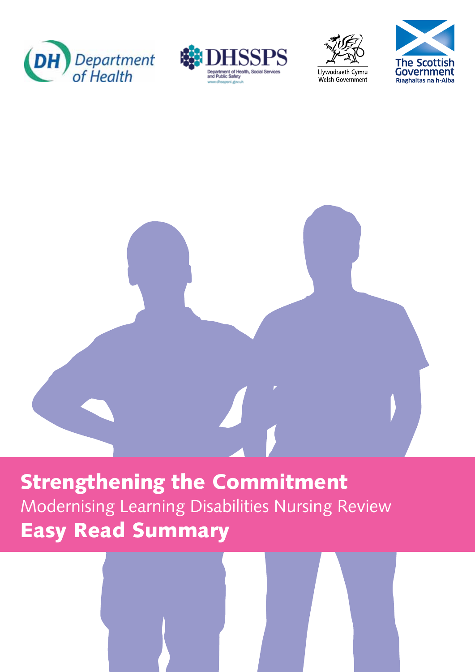









# Strengthening the Commitment

Modernising Learning Disabilities Nursing Review Easy Read Summary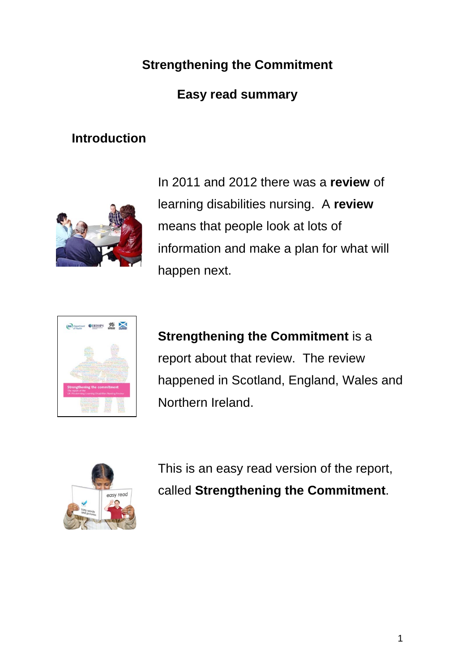# **Strengthening the Commitment**

## **Easy read summary**

# **Introduction**



In 2011 and 2012 there was a **review** of learning disabilities nursing. A **review**  means that people look at lots of information and make a plan for what will happen next.

| <b>Modff</b>                                |                                                                                                                                                                                                                                                                                                                                         |                                                                                                                                             |                                                                                                                |
|---------------------------------------------|-----------------------------------------------------------------------------------------------------------------------------------------------------------------------------------------------------------------------------------------------------------------------------------------------------------------------------------------|---------------------------------------------------------------------------------------------------------------------------------------------|----------------------------------------------------------------------------------------------------------------|
|                                             |                                                                                                                                                                                                                                                                                                                                         |                                                                                                                                             |                                                                                                                |
|                                             | <b>Commercial</b><br>continued in the<br><b>UNITED STATES</b>                                                                                                                                                                                                                                                                           | $\mathcal{A}$ and<br>and description<br>mode a final chair.<br><b>Ban Printers of Laboratory</b><br><b><i><u>Standard Committee</u></i></b> |                                                                                                                |
|                                             | Jul 14 commo<br>ventor Farmer 1<br>would allow that<br>arts travel. Hole                                                                                                                                                                                                                                                                | <b><i>Information</i></b><br>perchants of<br>making that's<br>Textile a                                                                     |                                                                                                                |
|                                             | completed of<br>and Harolds<br><b>CANDLES</b><br>and reports the                                                                                                                                                                                                                                                                        | <b>START AND IN</b><br>contractors from<br>contractions having racking detectors                                                            |                                                                                                                |
|                                             | Flames built democratic<br>provided through based home. - planning macht formed to previous of<br>well-early be-welly Parent Ad-Johnson, and Parent Upto Measurement a lighty at<br>and not financial data to see the contract of the search for the contract of the contract of the                                                    | and you think a discovered by the a basebal darks                                                                                           |                                                                                                                |
| __                                          | make carry and processing in the batterneously public companies and<br>and highly. The breaking machining and in construction furthy and the many chosing any<br>in Percentakan badara kalendaran sebuah Pengikatanan Pencil Batharin<br>glacement further assistant and hally diseased that is a competent of the control bank becomes |                                                                                                                                             |                                                                                                                |
| <b>Dalla Facts</b><br><b>Callin Awrents</b> | A Return restrict throught-sized council bucketing and houses the company holds a series by<br>as Figures and Consequences from the American American business between reduced from the bar<br>A 5 week or ways, Fordia call a top<br>ton, freezes catching formations                                                                  | THING TOWNS IS TO A RESIDENT A THE                                                                                                          |                                                                                                                |
|                                             | tills lightig kallaksertelate. ""John sight Americanske signing relative form<br>Antiquipty, hastill-formed from services and a string plan holy three may be<br>Advertising the Australian Council and Characterizant Council States                                                                                                   |                                                                                                                                             |                                                                                                                |
| all rights                                  |                                                                                                                                                                                                                                                                                                                                         |                                                                                                                                             |                                                                                                                |
|                                             | is particularly and the state of the fundamental continuity of the con-<br>auto book books hardway                                                                                                                                                                                                                                      | who I would do an explored, I works night said.                                                                                             |                                                                                                                |
|                                             | <b>Strengthening the commitment</b>                                                                                                                                                                                                                                                                                                     |                                                                                                                                             |                                                                                                                |
| The report of the                           | UK Moderniting Learning Disabilities Norting Review                                                                                                                                                                                                                                                                                     |                                                                                                                                             |                                                                                                                |
|                                             | than the North American Library<br>approved a fun after approved with the                                                                                                                                                                                                                                                               | <b>Literature</b><br><b>The Service</b>                                                                                                     | <b>Farmers</b><br>planeted at                                                                                  |
|                                             | <b>R.A. Facts 14 Kinst, Noter 1970</b><br>Angolan Fact Aventu compatible<br>the internal labor diploy hands<br>with, beatly beloned Journalists.<br>White Prochet - N. O. Declared and                                                                                                                                                  | <b>Engineer</b><br><b>Dispatched</b><br>and a series<br>To cartesia<br>allow better                                                         | <b>CONTRACTOR</b><br>Miller McGraw<br><b>Page of Assets</b><br>$\frac{1}{2}$ .<br>Desired in<br><b>Dealers</b> |

**Strengthening the Commitment is a** report about that review. The review happened in Scotland, England, Wales and Northern Ireland.



This is an easy read version of the report, called **Strengthening the Commitment**.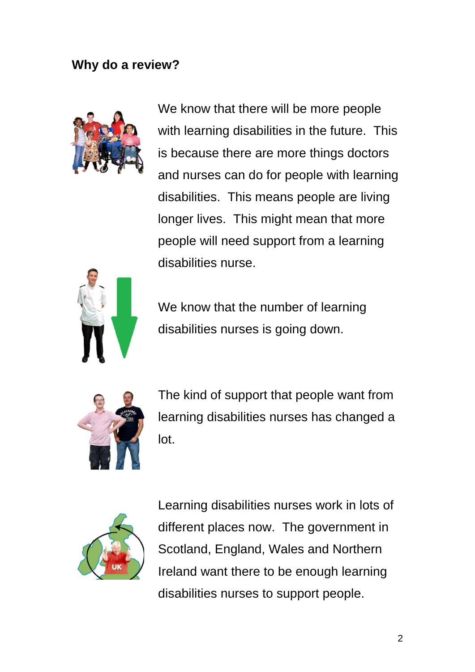#### **Why do a review?**



We know that there will be more people with learning disabilities in the future. This is because there are more things doctors and nurses can do for people with learning disabilities. This means people are living longer lives. This might mean that more people will need support from a learning disabilities nurse.



We know that the number of learning disabilities nurses is going down.



The kind of support that people want from learning disabilities nurses has changed a lot.



Learning disabilities nurses work in lots of different places now. The government in Scotland, England, Wales and Northern Ireland want there to be enough learning disabilities nurses to support people.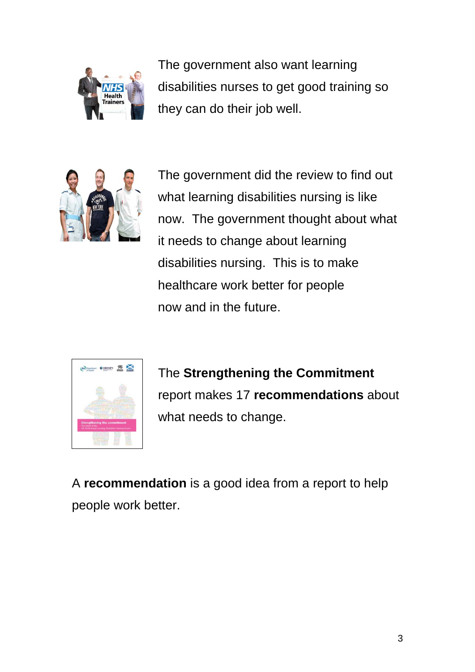

The government also want learning disabilities nurses to get good training so they can do their job well.



The government did the review to find out what learning disabilities nursing is like now. The government thought about what it needs to change about learning disabilities nursing. This is to make healthcare work better for people now and in the future.



The **Strengthening the Commitment** report makes 17 **recommendations** about what needs to change.

A **recommendation** is a good idea from a report to help people work better.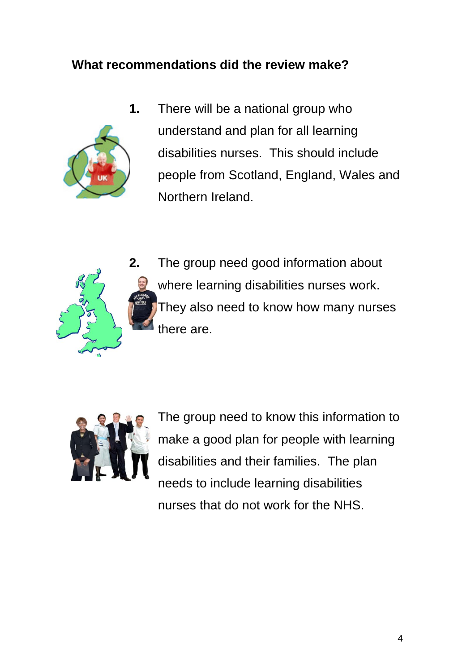## **What recommendations did the review make?**



**1.** There will be a national group who understand and plan for all learning disabilities nurses. This should include people from Scotland, England, Wales and Northern Ireland.



**2.** The group need good information about where learning disabilities nurses work. They also need to know how many nurses there are.



The group need to know this information to make a good plan for people with learning disabilities and their families. The plan needs to include learning disabilities nurses that do not work for the NHS.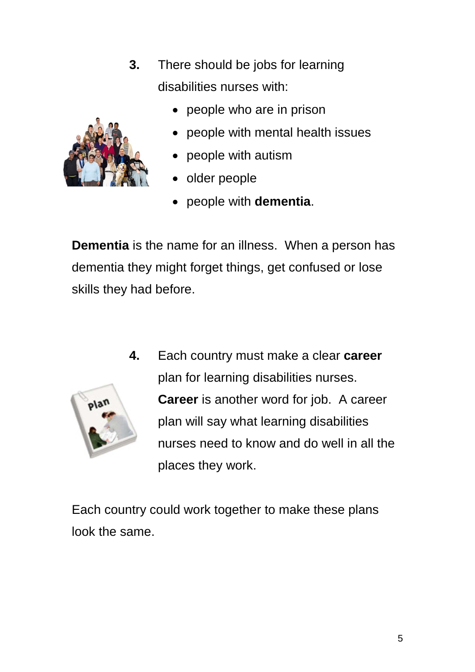- **3.** There should be jobs for learning disabilities nurses with:
	- people who are in prison



- people with autism
- older people
- people with **dementia**.

**Dementia** is the name for an illness. When a person has dementia they might forget things, get confused or lose skills they had before.



**4.** Each country must make a clear **career** plan for learning disabilities nurses. **Career** is another word for job. A career plan will say what learning disabilities nurses need to know and do well in all the places they work.

Each country could work together to make these plans look the same.

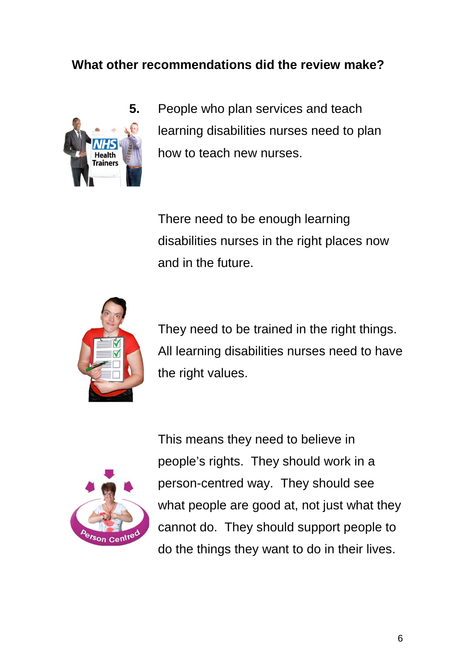#### **What other recommendations did the review make?**



**5.** People who plan services and teach learning disabilities nurses need to plan how to teach new nurses.

> There need to be enough learning disabilities nurses in the right places now and in the future.



They need to be trained in the right things. All learning disabilities nurses need to have the right values.



This means they need to believe in people's rights. They should work in a person-centred way. They should see what people are good at, not just what they cannot do. They should support people to do the things they want to do in their lives.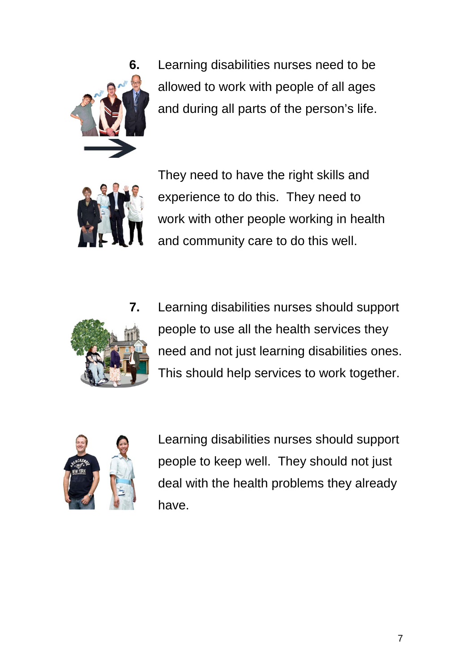

**6.** Learning disabilities nurses need to be allowed to work with people of all ages and during all parts of the person's life.



They need to have the right skills and experience to do this. They need to work with other people working in health and community care to do this well.



**7.** Learning disabilities nurses should support people to use all the health services they need and not just learning disabilities ones. This should help services to work together.



Learning disabilities nurses should support people to keep well. They should not just deal with the health problems they already have.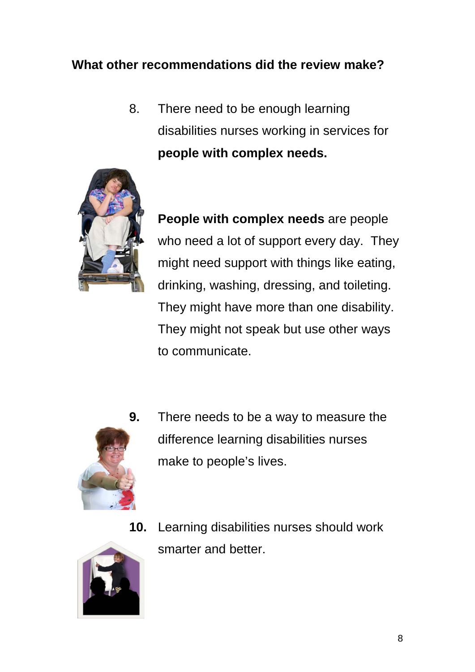## **What other recommendations did the review make?**

8. There need to be enough learning disabilities nurses working in services for **people with complex needs.** 



**People with complex needs** are people who need a lot of support every day. They might need support with things like eating, drinking, washing, dressing, and toileting. They might have more than one disability. They might not speak but use other ways to communicate.



- **9.** There needs to be a way to measure the difference learning disabilities nurses make to people's lives.
- **10.** Learning disabilities nurses should work smarter and better.

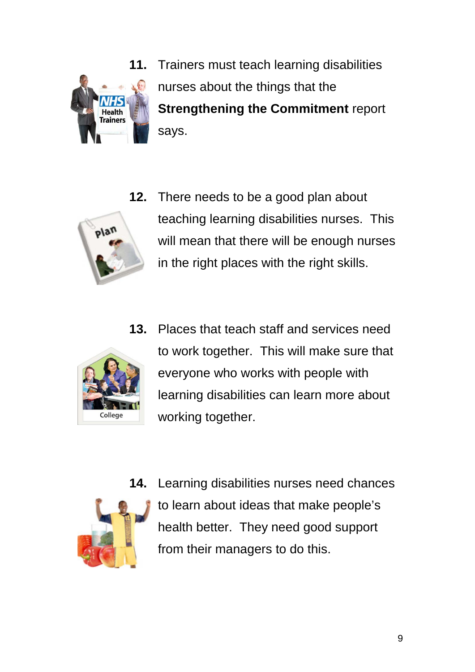

**11.** Trainers must teach learning disabilities nurses about the things that the **Strengthening the Commitment** report says.



**12.** There needs to be a good plan about teaching learning disabilities nurses. This will mean that there will be enough nurses in the right places with the right skills.

- College
- **13.** Places that teach staff and services need to work together. This will make sure that everyone who works with people with learning disabilities can learn more about working together.



**14.** Learning disabilities nurses need chances to learn about ideas that make people's health better. They need good support from their managers to do this.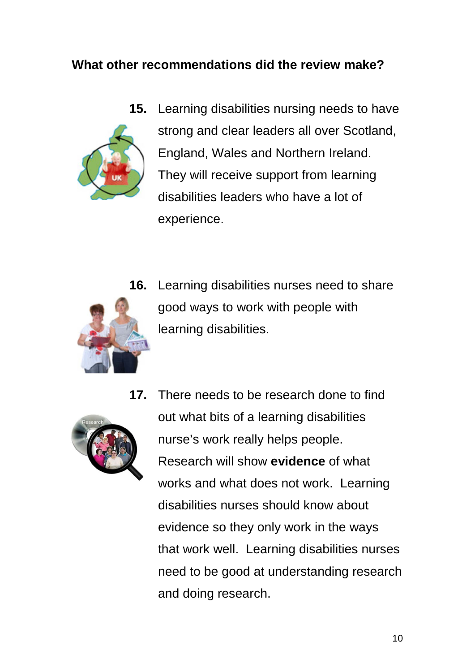#### **What other recommendations did the review make?**



**15.** Learning disabilities nursing needs to have strong and clear leaders all over Scotland, England, Wales and Northern Ireland. They will receive support from learning disabilities leaders who have a lot of experience.



**16.** Learning disabilities nurses need to share good ways to work with people with learning disabilities.



**17.** There needs to be research done to find out what bits of a learning disabilities nurse's work really helps people. Research will show **evidence** of what works and what does not work. Learning disabilities nurses should know about evidence so they only work in the ways that work well. Learning disabilities nurses need to be good at understanding research and doing research.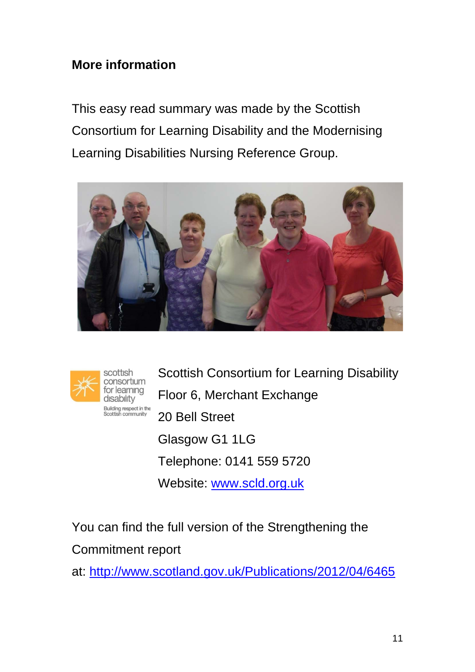## **More information**

This easy read summary was made by the Scottish Consortium for Learning Disability and the Modernising Learning Disabilities Nursing Reference Group.





Scottish Consortium for Learning Disability Floor 6, Merchant Exchange 20 Bell Street Glasgow G1 1LG Telephone: 0141 559 5720 Website: [www.scld.org.uk](http://www.scld.org.uk/)

You can find the full version of the Strengthening the Commitment report

at: <http://www.scotland.gov.uk/Publications/2012/04/6465>